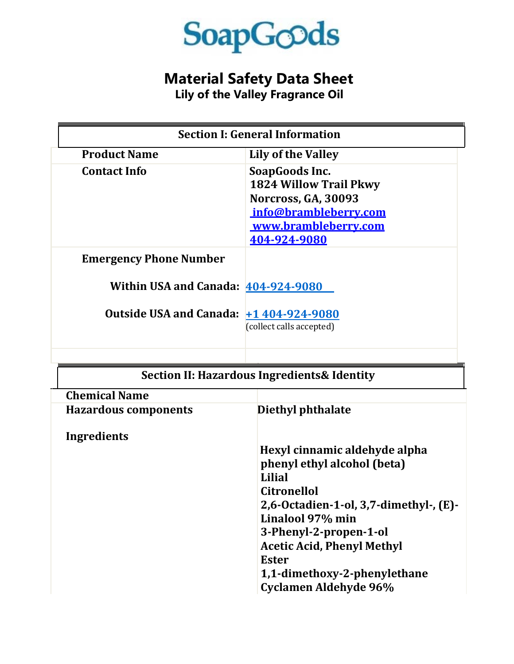

## **Material Safety Data Sheet**

**Lily of the Valley Fragrance Oil**

| <b>Section I: General Information</b>   |                                                                                                                                         |
|-----------------------------------------|-----------------------------------------------------------------------------------------------------------------------------------------|
| <b>Product Name</b>                     | Lily of the Valley                                                                                                                      |
| <b>Contact Info</b>                     | SoapGoods Inc.<br><b>1824 Willow Trail Pkwy</b><br>Norcross, GA, 30093<br>info@brambleberry.com<br>www.brambleberry.com<br>404-924-9080 |
| <b>Emergency Phone Number</b>           |                                                                                                                                         |
| Within USA and Canada: 404-924-9080     |                                                                                                                                         |
| Outside USA and Canada: +1 404-924-9080 | (collect calls accepted)                                                                                                                |

| <b>Section II: Hazardous Ingredients &amp; Identity</b> |                                        |
|---------------------------------------------------------|----------------------------------------|
| <b>Chemical Name</b>                                    |                                        |
| <b>Hazardous components</b>                             | Diethyl phthalate                      |
| Ingredients                                             |                                        |
|                                                         | Hexyl cinnamic aldehyde alpha          |
|                                                         | phenyl ethyl alcohol (beta)            |
|                                                         | Lilial                                 |
|                                                         | <b>Citronellol</b>                     |
|                                                         | 2,6-Octadien-1-ol, 3,7-dimethyl-, (E)- |
|                                                         | Linalool 97% min                       |
|                                                         | 3-Phenyl-2-propen-1-ol                 |
|                                                         | <b>Acetic Acid, Phenyl Methyl</b>      |
|                                                         | <b>Ester</b>                           |
|                                                         | 1,1-dimethoxy-2-phenylethane           |
|                                                         | <b>Cyclamen Aldehyde 96%</b>           |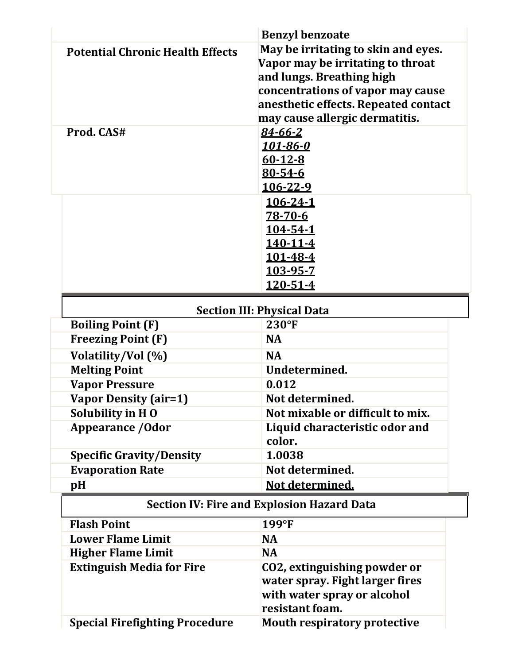|                                         | <b>Benzyl benzoate</b>                            |
|-----------------------------------------|---------------------------------------------------|
| <b>Potential Chronic Health Effects</b> | May be irritating to skin and eyes.               |
|                                         | Vapor may be irritating to throat                 |
|                                         | and lungs. Breathing high                         |
|                                         | concentrations of vapor may cause                 |
|                                         | anesthetic effects. Repeated contact              |
|                                         | may cause allergic dermatitis.                    |
| Prod. CAS#                              | 84-66-2                                           |
|                                         | <u> 101-86-0</u>                                  |
|                                         | $60 - 12 - 8$                                     |
|                                         | 80-54-6                                           |
|                                         | 106-22-9                                          |
|                                         | <u>106-24-1</u>                                   |
|                                         | 78-70-6                                           |
|                                         | 104-54-1<br><u>140-11-4</u>                       |
|                                         | <u>101-48-4</u>                                   |
|                                         | 103-95-7                                          |
|                                         | 120-51-4                                          |
|                                         |                                                   |
|                                         | <b>Section III: Physical Data</b>                 |
| <b>Boiling Point (F)</b>                | 230°F                                             |
| <b>Freezing Point (F)</b>               | <b>NA</b>                                         |
| Volatility/Vol (%)                      | <b>NA</b>                                         |
| <b>Melting Point</b>                    | Undetermined.                                     |
| <b>Vapor Pressure</b>                   | 0.012                                             |
| <b>Vapor Density (air=1)</b>            | Not determined.                                   |
| Solubility in HO                        | Not mixable or difficult to mix.                  |
| <b>Appearance / Odor</b>                | Liquid characteristic odor and<br>color.          |
| <b>Specific Gravity/Density</b>         | 1.0038                                            |
| <b>Evaporation Rate</b>                 | Not determined.                                   |
| pH                                      | Not determined.                                   |
|                                         |                                                   |
|                                         | <b>Section IV: Fire and Explosion Hazard Data</b> |
| <b>Flash Point</b>                      | 199°F                                             |
| <b>Lower Flame Limit</b>                | <b>NA</b>                                         |
| <b>Higher Flame Limit</b>               | <b>NA</b>                                         |
| <b>Extinguish Media for Fire</b>        | CO2, extinguishing powder or                      |
|                                         | water spray. Fight larger fires                   |
|                                         | with water spray or alcohol                       |
|                                         | resistant foam.                                   |
| <b>Special Firefighting Procedure</b>   | <b>Mouth respiratory protective</b>               |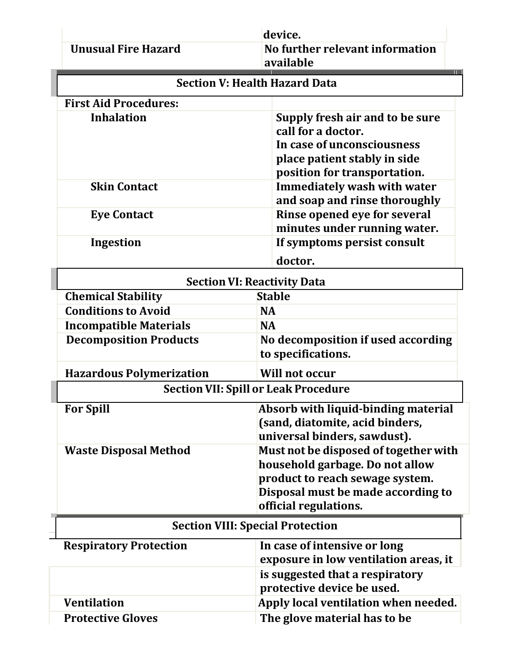| <b>Unusual Fire Hazard</b>      | device.<br>No further relevant information<br>available                                                                                             |
|---------------------------------|-----------------------------------------------------------------------------------------------------------------------------------------------------|
|                                 | <b>Section V: Health Hazard Data</b>                                                                                                                |
| <b>First Aid Procedures:</b>    |                                                                                                                                                     |
| <b>Inhalation</b>               | Supply fresh air and to be sure<br>call for a doctor.<br>In case of unconsciousness<br>place patient stably in side<br>position for transportation. |
| <b>Skin Contact</b>             | <b>Immediately wash with water</b><br>and soap and rinse thoroughly                                                                                 |
| <b>Eye Contact</b>              | Rinse opened eye for several<br>minutes under running water.                                                                                        |
| Ingestion                       | If symptoms persist consult                                                                                                                         |
|                                 | doctor.                                                                                                                                             |
|                                 | <b>Section VI: Reactivity Data</b>                                                                                                                  |
| <b>Chemical Stability</b>       | <b>Stable</b>                                                                                                                                       |
| <b>Conditions to Avoid</b>      | <b>NA</b>                                                                                                                                           |
| <b>Incompatible Materials</b>   | <b>NA</b>                                                                                                                                           |
| <b>Decomposition Products</b>   | No decomposition if used according<br>to specifications.                                                                                            |
| <b>Hazardous Polymerization</b> | <b>Will not occur</b>                                                                                                                               |
|                                 | <b>Section VII: Spill or Leak Procedure</b>                                                                                                         |
| <b>For Spill</b>                | Absorb with liquid-binding material<br>(sand, diatomite, acid binders,<br>universal binders, sawdust).                                              |
| <b>Waste Disposal Method</b>    | Must not be disposed of together with<br>household garbage. Do not allow<br>product to reach sewage system.                                         |
|                                 | Disposal must be made according to<br>official regulations.                                                                                         |
|                                 | <b>Section VIII: Special Protection</b>                                                                                                             |
| <b>Respiratory Protection</b>   | In case of intensive or long<br>exposure in low ventilation areas, it                                                                               |
|                                 | is suggested that a respiratory<br>protective device be used.                                                                                       |
| <b>Ventilation</b>              | Apply local ventilation when needed.                                                                                                                |
| <b>Protective Gloves</b>        | The glove material has to be                                                                                                                        |